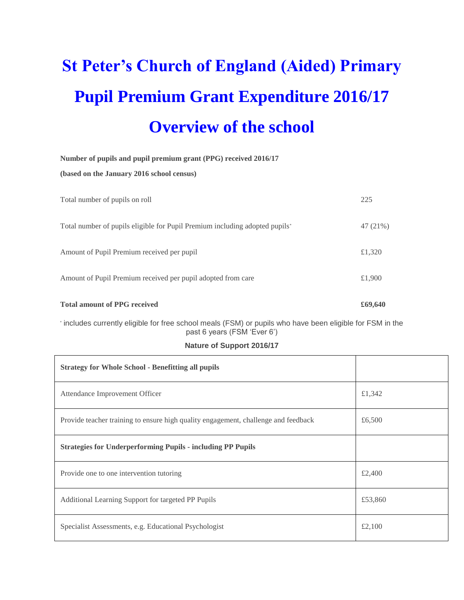# **St Peter's Church of England (Aided) Primary Pupil Premium Grant Expenditure 2016/17 Overview of the school**

| Number of pupils and pupil premium grant (PPG) received 2016/17             |          |  |  |  |
|-----------------------------------------------------------------------------|----------|--|--|--|
| (based on the January 2016 school census)                                   |          |  |  |  |
|                                                                             |          |  |  |  |
| Total number of pupils on roll                                              | 225      |  |  |  |
|                                                                             |          |  |  |  |
| "Total number of pupils eligible for Pupil Premium including adopted pupils | 47 (21%) |  |  |  |
|                                                                             |          |  |  |  |
| Amount of Pupil Premium received per pupil                                  | £1,320   |  |  |  |
|                                                                             |          |  |  |  |
| Amount of Pupil Premium received per pupil adopted from care                | £1,900   |  |  |  |
|                                                                             |          |  |  |  |
| <b>Total amount of PPG received</b>                                         | £69,640  |  |  |  |
|                                                                             |          |  |  |  |

\* includes currently eligible for free school meals (FSM) or pupils who have been eligible for FSM in the past 6 years (FSM 'Ever 6')

#### **Nature of Support 2016/17**

| <b>Strategy for Whole School - Benefitting all pupils</b>                          |         |
|------------------------------------------------------------------------------------|---------|
| Attendance Improvement Officer                                                     | £1,342  |
| Provide teacher training to ensure high quality engagement, challenge and feedback | £6,500  |
| <b>Strategies for Underperforming Pupils - including PP Pupils</b>                 |         |
| Provide one to one intervention tutoring                                           | £2,400  |
| Additional Learning Support for targeted PP Pupils                                 | £53,860 |
| Specialist Assessments, e.g. Educational Psychologist                              | £2,100  |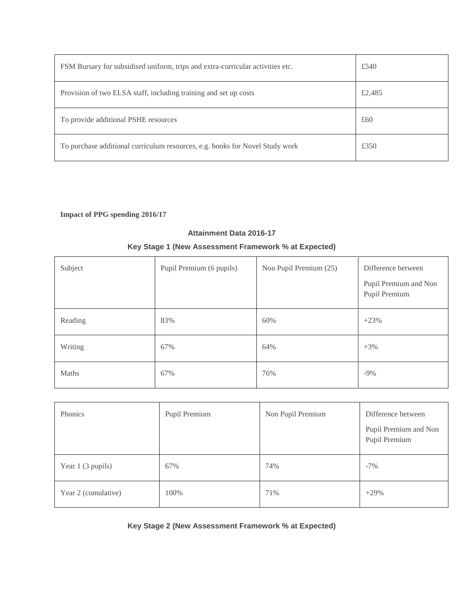| FSM Bursary for subsidised uniform, trips and extra-curricular activities etc. | £540   |
|--------------------------------------------------------------------------------|--------|
| Provision of two ELSA staff, including training and set up costs               | £2,485 |
| To provide additional PSHE resources                                           | £60    |
| To purchase additional curriculum resources, e.g. books for Novel Study work   | £350   |

# **Impact of PPG spending 2016/17**

#### **Attainment Data 2016-17**

## **Key Stage 1 (New Assessment Framework % at Expected)**

| Subject | Pupil Premium (6 pupils) | Non Pupil Premium (25) | Difference between<br>Pupil Premium and Non<br>Pupil Premium |
|---------|--------------------------|------------------------|--------------------------------------------------------------|
| Reading | 83%                      | 60%                    | $+23%$                                                       |
| Writing | 67%                      | 64%                    | $+3%$                                                        |
| Maths   | 67%                      | 76%                    | $-9\%$                                                       |

| Phonics             | Pupil Premium | Non Pupil Premium | Difference between<br>Pupil Premium and Non<br>Pupil Premium |
|---------------------|---------------|-------------------|--------------------------------------------------------------|
| Year 1 (3 pupils)   | 67%           | 74%               | $-7\%$                                                       |
| Year 2 (cumulative) | 100%          | 71%               | $+29%$                                                       |

**Key Stage 2 (New Assessment Framework % at Expected)**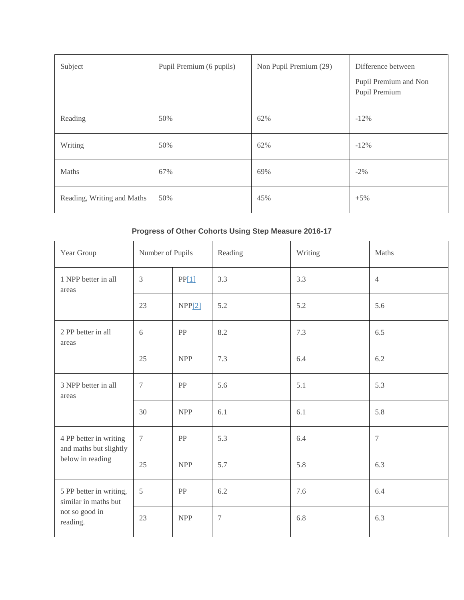| Subject                    | Pupil Premium (6 pupils) | Non Pupil Premium (29) | Difference between<br>Pupil Premium and Non<br>Pupil Premium |
|----------------------------|--------------------------|------------------------|--------------------------------------------------------------|
| Reading                    | 50%                      | 62%                    | $-12\%$                                                      |
| Writing                    | 50%                      | 62%                    | $-12\%$                                                      |
| Maths                      | 67%                      | 69%                    | $-2\%$                                                       |
| Reading, Writing and Maths | 50%                      | 45%                    | $+5%$                                                        |

# **Progress of Other Cohorts Using Step Measure 2016-17**

| Year Group                                                                    | Number of Pupils |            | Reading        | Writing | Maths            |
|-------------------------------------------------------------------------------|------------------|------------|----------------|---------|------------------|
| 1 NPP better in all<br>areas                                                  | $\mathfrak{Z}$   | PP[1]      | 3.3            | 3.3     | $\overline{4}$   |
|                                                                               | 23               | NPP[2]     | 5.2            | 5.2     | 5.6              |
| 2 PP better in all<br>areas                                                   | 6                | PP         | 8.2            | 7.3     | 6.5              |
|                                                                               | 25               | <b>NPP</b> | 7.3            | 6.4     | 6.2              |
| 3 NPP better in all<br>areas                                                  | $\overline{7}$   | PP         | 5.6            | 5.1     | 5.3              |
|                                                                               | 30               | <b>NPP</b> | 6.1            | 6.1     | 5.8              |
| 4 PP better in writing<br>and maths but slightly<br>below in reading          | $\boldsymbol{7}$ | PP         | 5.3            | 6.4     | $\boldsymbol{7}$ |
|                                                                               | 25               | <b>NPP</b> | 5.7            | 5.8     | 6.3              |
| 5 PP better in writing,<br>similar in maths but<br>not so good in<br>reading. | 5                | PP         | 6.2            | 7.6     | 6.4              |
|                                                                               | 23               | <b>NPP</b> | $\overline{7}$ | 6.8     | 6.3              |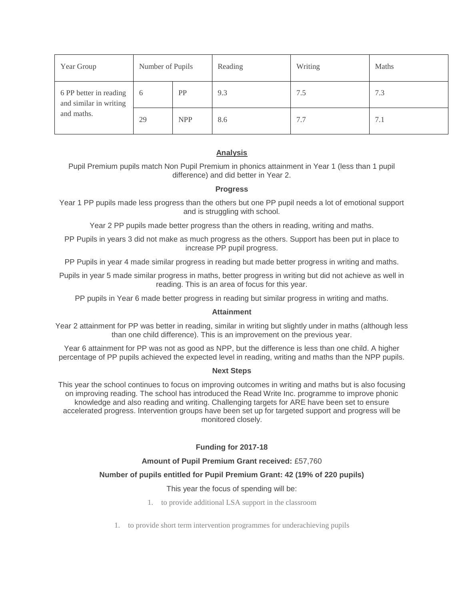| Year Group                                       | Number of Pupils |            | Reading | Writing | <b>Maths</b> |
|--------------------------------------------------|------------------|------------|---------|---------|--------------|
| 6 PP better in reading<br>and similar in writing | 6                | PP         | 9.3     | 7.5     | 7.3          |
| and maths.                                       | 29               | <b>NPP</b> | 8.6     | 7.7     | 7.1          |

### **Analysis**

Pupil Premium pupils match Non Pupil Premium in phonics attainment in Year 1 (less than 1 pupil difference) and did better in Year 2.

#### **Progress**

Year 1 PP pupils made less progress than the others but one PP pupil needs a lot of emotional support and is struggling with school.

Year 2 PP pupils made better progress than the others in reading, writing and maths.

PP Pupils in years 3 did not make as much progress as the others. Support has been put in place to increase PP pupil progress.

PP Pupils in year 4 made similar progress in reading but made better progress in writing and maths.

Pupils in year 5 made similar progress in maths, better progress in writing but did not achieve as well in reading. This is an area of focus for this year.

PP pupils in Year 6 made better progress in reading but similar progress in writing and maths.

#### **Attainment**

Year 2 attainment for PP was better in reading, similar in writing but slightly under in maths (although less than one child difference). This is an improvement on the previous year.

Year 6 attainment for PP was not as good as NPP, but the difference is less than one child. A higher percentage of PP pupils achieved the expected level in reading, writing and maths than the NPP pupils.

#### **Next Steps**

This year the school continues to focus on improving outcomes in writing and maths but is also focusing on improving reading. The school has introduced the Read Write Inc. programme to improve phonic knowledge and also reading and writing. Challenging targets for ARE have been set to ensure accelerated progress. Intervention groups have been set up for targeted support and progress will be monitored closely.

#### **Funding for 2017-18**

#### **Amount of Pupil Premium Grant received:** £57,760

#### **Number of pupils entitled for Pupil Premium Grant: 42 (19% of 220 pupils)**

#### This year the focus of spending will be:

- 1. to provide additional LSA support in the classroom
- 1. to provide short term intervention programmes for underachieving pupils